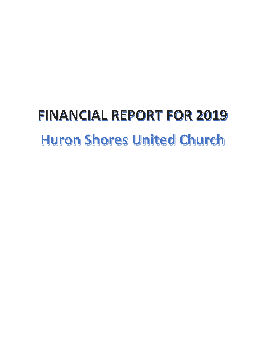## **FINANCIAL REPORT FOR 2019 Huron Shores United Church**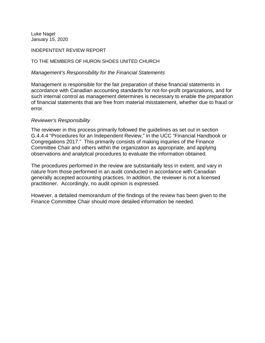Luke Nagel January 15, 2020

INDEPENTENT REVIEW REPORT

TO THE MEMBERS OF HURON SHOES UNITED CHURCH

*Management's Responsibility for the Financial Statements*

Management is responsible for the fair preparation of these financial statements in accordance with Canadian accounting standards for not-for-profit organizations, and for such internal control as management determines is necessary to enable the preparation of financial statements that are free from material misstatement, whether due to fraud or error.

## *Reviewer's Responsibility*

The reviewer in this process primarily followed the guidelines as set out in section G.4.4.4 "Procedures for an Independent Review," in the UCC "Financial Handbook or Congregations 2017." This primarily consists of making inquiries of the Finance Committee Chair and others within the organization as appropriate, and applying observations and analytical procedures to evaluate the information obtained.

The procedures performed in the review are substantially less in extent, and vary in nature from those performed in an audit conducted in accordance with Canadian generally accepted accounting practices. In addition, the reviewer is not a licensed practitioner. Accordingly, no audit opinion is expressed.

However, a detailed memorandum of the findings of the review has been given to the Finance Committee Chair should more detailed information be needed.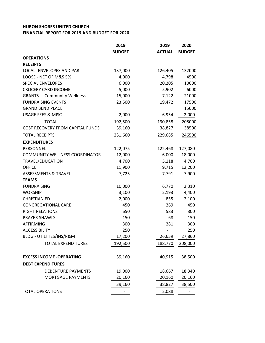## **HURON SHORES UNITED CHURCH FINANCIAL REPORT FOR 2019 AND BUDGET FOR 2020**

|                                            | 2019          | 2019          | 2020          |
|--------------------------------------------|---------------|---------------|---------------|
|                                            | <b>BUDGET</b> | <b>ACTUAL</b> | <b>BUDGET</b> |
| <b>OPERATIONS</b>                          |               |               |               |
| <b>RECEIPTS</b>                            |               |               |               |
| <b>LOCAL- ENVELOPES AND PAR</b>            | 137,000       | 126,405       | 132000        |
| LOOSE - NET OF M&S 5%                      | 4,000         | 4,798         | 4500          |
| <b>SPECIAL ENVELOPES</b>                   | 6,000         | 20,205        | 10000         |
| <b>CROCERY CARD INCOME</b>                 | 5,000         | 5,902         | 6000          |
| <b>GRANTS</b><br><b>Community Wellness</b> | 15,000        | 7,122         | 21000         |
| <b>FUNDRAISING EVENTS</b>                  | 23,500        | 19,472        | 17500         |
| <b>GRAND BEND PLACE</b>                    |               |               | 15000         |
| <b>USAGE FEES &amp; MISC</b>               | 2,000         | 6,954         | 2,000         |
| <b>TOTAL</b>                               | 192,500       | 190,858       | 208000        |
| COST RECOVERY FROM CAPITAL FUNDS           | 39,160        | 38,827        | 38500         |
| <b>TOTAL RECEIPTS</b>                      | 231,660       | 229,685       | 246500        |
| <b>EXPENDITURES</b>                        |               |               |               |
| PERSONNEL                                  | 122,075       | 122,468       | 127,080       |
| <b>COMMUNITY WELLNESS COORDINATOR</b>      | 12,000        | 6,000         | 18,000        |
| TRAVEL/EDUCATION                           | 4,700         | 5,118         | 4,700         |
| <b>OFFICE</b>                              | 11,900        | 9,715         | 12,200        |
| <b>ASSESSMENTS &amp; TRAVEL</b>            | 7,725         | 7,791         | 7,900         |
| <b>TEAMS</b>                               |               |               |               |
| <b>FUNDRAISING</b>                         | 10,000        | 6,770         | 2,310         |
| <b>WORSHIP</b>                             | 3,100         | 2,193         | 4,400         |
| <b>CHRISTIAN ED</b>                        | 2,000         | 855           | 2,100         |
| <b>CONGREGATIONAL CARE</b>                 | 450           | 269           | 450           |
| <b>RIGHT RELATIONS</b>                     | 650           | 583           | 300           |
| <b>PRAYER SHAWLS</b>                       | 150           | 68            | 150           |
| AFFIRMING                                  | 300           | 281           | 300           |
| <b>ACCESSIBILITY</b>                       | 250           |               | 250           |
| BLDG - UTILITIES/INS/R&M                   | 17,200        | 26,659        | 27,860        |
| <b>TOTAL EXPENDTIURES</b>                  | 192,500       | 188,770       | 208,000       |
| <b>EXCESS INCOME -OPERATING</b>            | 39,160        | 40,915        | 38,500        |
| <b>DEBT EXPENDITURES</b>                   |               |               |               |
| <b>DEBENTURE PAYMENTS</b>                  | 19,000        | 18,667        | 18,340        |
| <b>MORTGAGE PAYMENTS</b>                   | 20,160        | 20,160        | 20,160        |
|                                            | 39,160        | 38,827        | 38,500        |
| <b>TOTAL OPERATIONS</b>                    |               | 2,088         |               |
|                                            |               |               |               |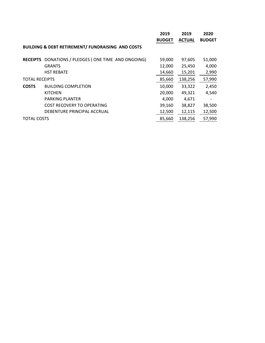|                       |                                                              | 2019          | 2019          | 2020                     |
|-----------------------|--------------------------------------------------------------|---------------|---------------|--------------------------|
|                       |                                                              | <b>BUDGET</b> | <b>ACTUAL</b> | <b>BUDGET</b>            |
|                       | <b>BUILDING &amp; DEBT RETIREMENT/ FUNDRAISING AND COSTS</b> |               |               |                          |
| <b>RECEIPTS</b>       | DONATIONS / PLEDGES (ONE TIME AND ONGOING)                   | 59,000        | 97,605        | 51,000                   |
|                       | <b>GRANTS</b>                                                | 12,000        | 25,450        | 4,000                    |
|                       | <b>HST REBATE</b>                                            | 14,660        | 15,201        | 2,990                    |
| <b>TOTAL RECEIPTS</b> |                                                              | 85,660        | 138,256       | 57,990                   |
| <b>COSTS</b>          | <b>BUILDING COMPLETION</b>                                   | 10,000        | 33,322        | 2,450                    |
|                       | <b>KITCHEN</b>                                               | 20,000        | 49,321        | 4,540                    |
|                       | <b>PARKING PLANTER</b>                                       | 4,000         | 4,671         | $\overline{\phantom{a}}$ |
|                       | <b>COST RECOVERY TO OPERATING</b>                            | 39,160        | 38,827        | 38,500                   |
|                       | DEBENTURE PRINCIPAL ACCRUAL                                  | 12,500        | 12,115        | 12,500                   |
| <b>TOTAL COSTS</b>    |                                                              | 85,660        | 138,256       | 57,990                   |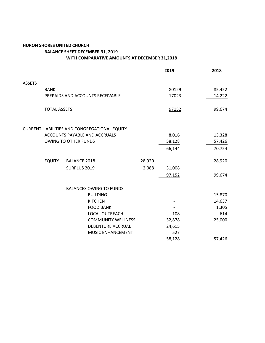## **HURON SHORES UNITED CHURCH BALANCE SHEET DECEMBER 31, 2019 WITH COMPARATIVE AMOUNTS AT DECEMBER 31,2018**

|                             |                                  |                     |                                               |        | 2019   | 2018   |
|-----------------------------|----------------------------------|---------------------|-----------------------------------------------|--------|--------|--------|
| <b>ASSETS</b>               |                                  |                     |                                               |        |        |        |
|                             | <b>BANK</b>                      |                     |                                               | 80129  | 85,452 |        |
|                             | PREPAIDS AND ACCOUNTS RECEIVABLE |                     |                                               |        | 17023  | 14,222 |
|                             | <b>TOTAL ASSETS</b>              |                     |                                               |        | 97152  | 99,674 |
|                             |                                  |                     | CURRENT LIABILITIES AND CONGREGATIONAL EQUITY |        |        |        |
|                             | ACCOUNTS PAYABLE AND ACCRUALS    |                     |                                               |        | 8,016  | 13,328 |
| <b>OWING TO OTHER FUNDS</b> |                                  |                     | 58,128                                        | 57,426 |        |        |
|                             |                                  |                     |                                               |        | 66,144 | 70,754 |
|                             | <b>EQUITY</b>                    | <b>BALANCE 2018</b> |                                               | 28,920 |        | 28,920 |
|                             |                                  | SURPLUS 2019        |                                               | 2,088  | 31,008 |        |
|                             |                                  |                     |                                               |        | 97,152 | 99,674 |
|                             |                                  |                     | <b>BALANCES OWING TO FUNDS</b>                |        |        |        |
|                             |                                  |                     | <b>BUILDING</b>                               |        |        | 15,870 |
|                             |                                  |                     | <b>KITCHEN</b>                                |        |        | 14,637 |
|                             |                                  |                     | <b>FOOD BANK</b>                              |        |        | 1,305  |
|                             |                                  |                     | <b>LOCAL OUTREACH</b>                         |        | 108    | 614    |
|                             |                                  |                     | <b>COMMUNITY WELLNESS</b>                     |        | 32,878 | 25,000 |
|                             |                                  |                     | DEBENTURE ACCRUAL                             |        | 24,615 |        |
|                             |                                  |                     | MUSIC ENHANCEMENT                             |        | 527    |        |
|                             |                                  |                     |                                               |        | 58,128 | 57,426 |